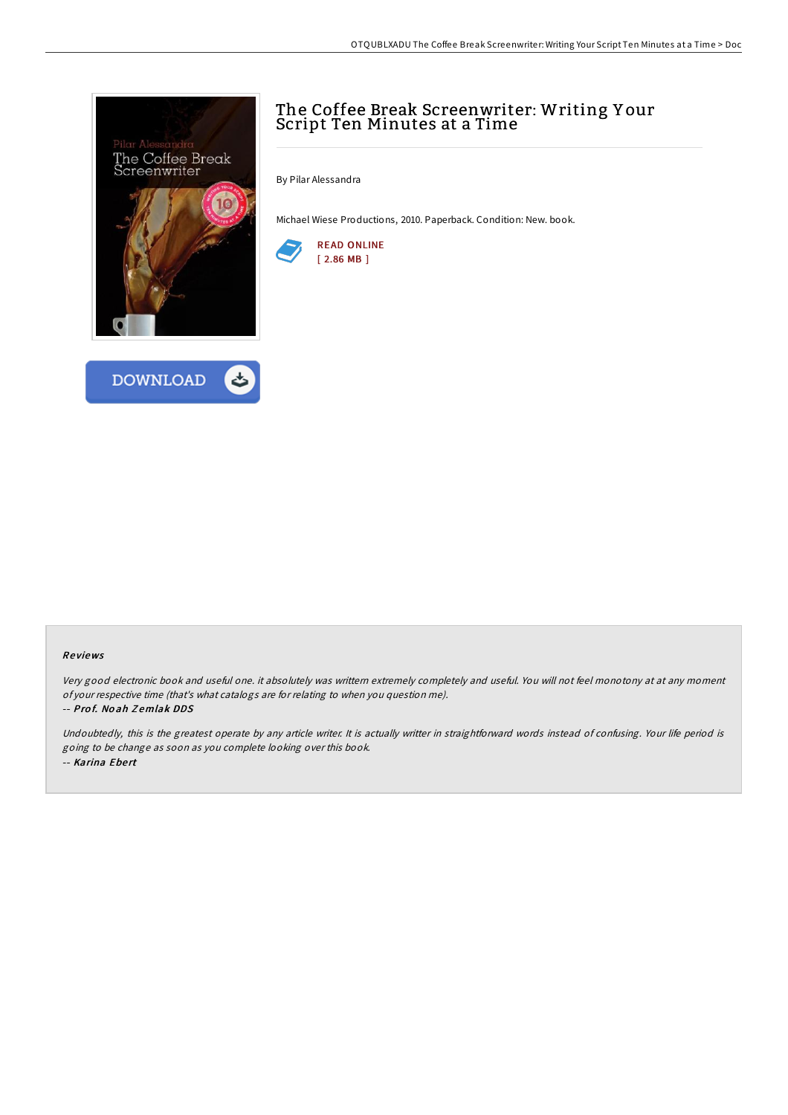



## The Coffee Break Screenwriter: Writing Y our Script Ten Minutes at a Time

By Pilar Alessandra

Michael Wiese Productions, 2010. Paperback. Condition: New. book.



## Re views

Very good electronic book and useful one. it absolutely was writtern extremely completely and useful. You will not feel monotony at at any moment of your respective time (that's what catalogs are for relating to when you question me).

## -- Pro f. No ah Z emlak DDS

Undoubtedly, this is the greatest operate by any article writer. It is actually writter in straightforward words instead of confusing. Your life period is going to be change as soon as you complete looking over this book. -- Karina Ebert